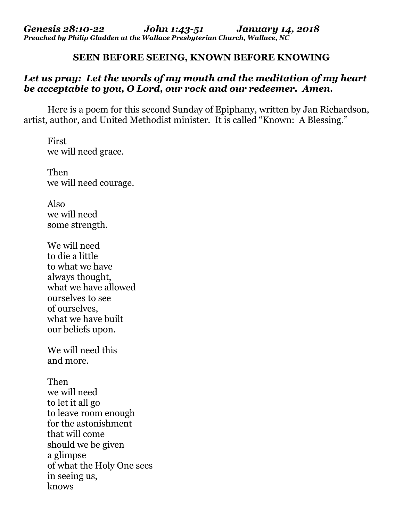## **SEEN BEFORE SEEING, KNOWN BEFORE KNOWING**

## *Let us pray: Let the words of my mouth and the meditation of my heart be acceptable to you, O Lord, our rock and our redeemer. Amen.*

Here is a poem for this second Sunday of Epiphany, written by Jan Richardson, artist, author, and United Methodist minister. It is called "Known: A Blessing."

First we will need grace.

Then we will need courage.

Also we will need some strength.

We will need to die a little to what we have always thought, what we have allowed ourselves to see of ourselves, what we have built our beliefs upon.

We will need this and more.

Then we will need to let it all go to leave room enough for the astonishment that will come should we be given a glimpse of what the Holy One sees in seeing us, knows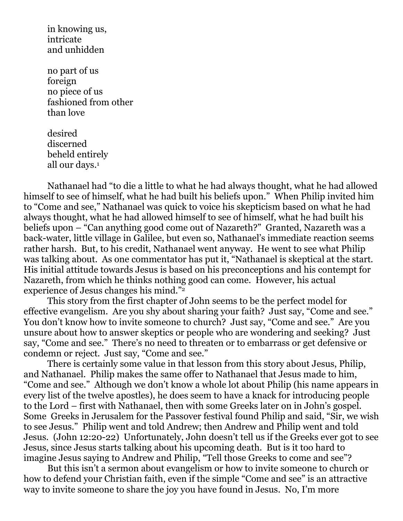in knowing us, intricate and unhidden

no part of us foreign no piece of us fashioned from other than love

desired discerned beheld entirely all our days.<sup>1</sup>

Nathanael had "to die a little to what he had always thought, what he had allowed himself to see of himself, what he had built his beliefs upon." When Philip invited him to "Come and see," Nathanael was quick to voice his skepticism based on what he had always thought, what he had allowed himself to see of himself, what he had built his beliefs upon – "Can anything good come out of Nazareth?" Granted, Nazareth was a back-water, little village in Galilee, but even so, Nathanael's immediate reaction seems rather harsh. But, to his credit, Nathanael went anyway. He went to see what Philip was talking about. As one commentator has put it, "Nathanael is skeptical at the start. His initial attitude towards Jesus is based on his preconceptions and his contempt for Nazareth, from which he thinks nothing good can come. However, his actual experience of Jesus changes his mind."<sup>2</sup>

This story from the first chapter of John seems to be the perfect model for effective evangelism. Are you shy about sharing your faith? Just say, "Come and see." You don't know how to invite someone to church? Just say, "Come and see." Are you unsure about how to answer skeptics or people who are wondering and seeking? Just say, "Come and see." There's no need to threaten or to embarrass or get defensive or condemn or reject. Just say, "Come and see."

There is certainly some value in that lesson from this story about Jesus, Philip, and Nathanael. Philip makes the same offer to Nathanael that Jesus made to him, "Come and see." Although we don't know a whole lot about Philip (his name appears in every list of the twelve apostles), he does seem to have a knack for introducing people to the Lord – first with Nathanael, then with some Greeks later on in John's gospel. Some Greeks in Jerusalem for the Passover festival found Philip and said, "Sir, we wish to see Jesus." Philip went and told Andrew; then Andrew and Philip went and told Jesus. (John 12:20-22) Unfortunately, John doesn't tell us if the Greeks ever got to see Jesus, since Jesus starts talking about his upcoming death. But is it too hard to imagine Jesus saying to Andrew and Philip, "Tell those Greeks to come and see"?

But this isn't a sermon about evangelism or how to invite someone to church or how to defend your Christian faith, even if the simple "Come and see" is an attractive way to invite someone to share the joy you have found in Jesus. No, I'm more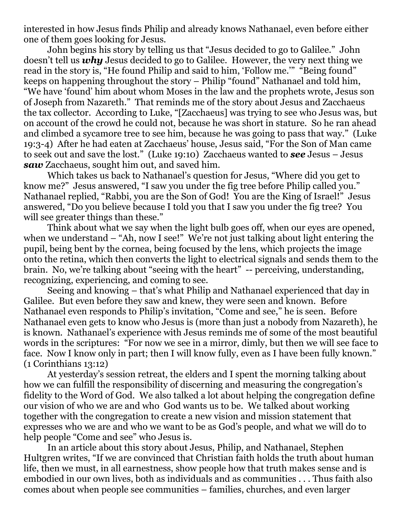interested in how Jesus finds Philip and already knows Nathanael, even before either one of them goes looking for Jesus.

John begins his story by telling us that "Jesus decided to go to Galilee." John doesn't tell us *why* Jesus decided to go to Galilee. However, the very next thing we read in the story is, "He found Philip and said to him, 'Follow me.'" "Being found" keeps on happening throughout the story – Philip "found" Nathanael and told him, "We have 'found' him about whom Moses in the law and the prophets wrote, Jesus son of Joseph from Nazareth." That reminds me of the story about Jesus and Zacchaeus the tax collector. According to Luke, "[Zacchaeus] was trying to see who Jesus was, but on account of the crowd he could not, because he was short in stature. So he ran ahead and climbed a sycamore tree to see him, because he was going to pass that way." (Luke 19:3-4) After he had eaten at Zacchaeus' house, Jesus said, "For the Son of Man came to seek out and save the lost." (Luke 19:10) Zacchaeus wanted to *see* Jesus – Jesus *saw* Zacchaeus, sought him out, and saved him.

Which takes us back to Nathanael's question for Jesus, "Where did you get to know me?" Jesus answered, "I saw you under the fig tree before Philip called you." Nathanael replied, "Rabbi, you are the Son of God! You are the King of Israel!" Jesus answered, "Do you believe because I told you that I saw you under the fig tree? You will see greater things than these."

Think about what we say when the light bulb goes off, when our eyes are opened, when we understand – "Ah, now I see!" We're not just talking about light entering the pupil, being bent by the cornea, being focused by the lens, which projects the image onto the retina, which then converts the light to electrical signals and sends them to the brain. No, we're talking about "seeing with the heart" -- perceiving, understanding, recognizing, experiencing, and coming to see.

Seeing and knowing – that's what Philip and Nathanael experienced that day in Galilee. But even before they saw and knew, they were seen and known. Before Nathanael even responds to Philip's invitation, "Come and see," he is seen. Before Nathanael even gets to know who Jesus is (more than just a nobody from Nazareth), he is known. Nathanael's experience with Jesus reminds me of some of the most beautiful words in the scriptures: "For now we see in a mirror, dimly, but then we will see face to face. Now I know only in part; then I will know fully, even as I have been fully known." (1 Corinthians 13:12)

At yesterday's session retreat, the elders and I spent the morning talking about how we can fulfill the responsibility of discerning and measuring the congregation's fidelity to the Word of God. We also talked a lot about helping the congregation define our vision of who we are and who God wants us to be. We talked about working together with the congregation to create a new vision and mission statement that expresses who we are and who we want to be as God's people, and what we will do to help people "Come and see" who Jesus is.

In an article about this story about Jesus, Philip, and Nathanael, Stephen Hultgren writes, "If we are convinced that Christian faith holds the truth about human life, then we must, in all earnestness, show people how that truth makes sense and is embodied in our own lives, both as individuals and as communities . . . Thus faith also comes about when people see communities – families, churches, and even larger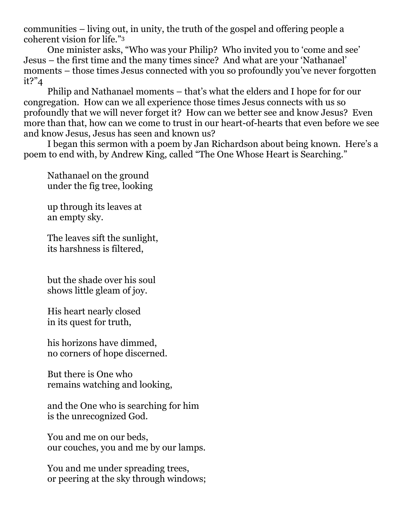communities – living out, in unity, the truth of the gospel and offering people a coherent vision for life."<sup>3</sup>

One minister asks, "Who was your Philip? Who invited you to 'come and see' Jesus – the first time and the many times since? And what are your 'Nathanael' moments – those times Jesus connected with you so profoundly you've never forgotten it?"4

Philip and Nathanael moments – that's what the elders and I hope for for our congregation. How can we all experience those times Jesus connects with us so profoundly that we will never forget it? How can we better see and know Jesus? Even more than that, how can we come to trust in our heart-of-hearts that even before we see and know Jesus, Jesus has seen and known us?

I began this sermon with a poem by Jan Richardson about being known. Here's a poem to end with, by Andrew King, called "The One Whose Heart is Searching."

Nathanael on the ground under the fig tree, looking

up through its leaves at an empty sky.

The leaves sift the sunlight, its harshness is filtered,

but the shade over his soul shows little gleam of joy.

His heart nearly closed in its quest for truth,

his horizons have dimmed, no corners of hope discerned.

But there is One who remains watching and looking,

and the One who is searching for him is the unrecognized God.

You and me on our beds, our couches, you and me by our lamps.

You and me under spreading trees, or peering at the sky through windows;